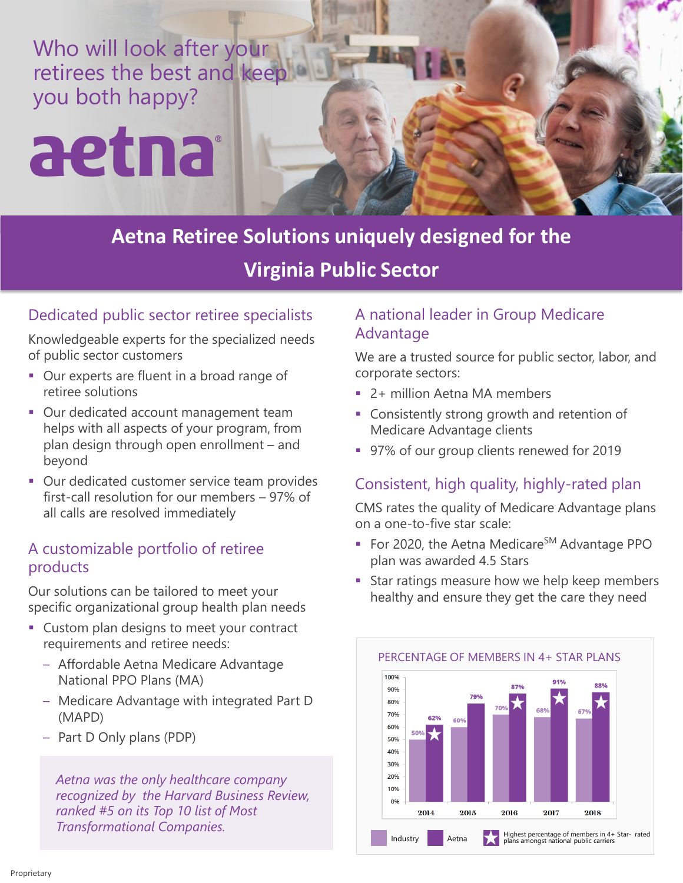Who will look after your retirees the best and keep you both happy?

# aetna

**Aetna Retiree Solutions uniquely designed for the Virginia Public Sector**

## Dedicated public sector retiree specialists

Knowledgeable experts for the specialized needs of public sector customers

- Our experts are fluent in a broad range of retiree solutions
- **Our dedicated account management team** helps with all aspects of your program, from plan design through open enrollment – and beyond
- Our dedicated customer service team provides first-call resolution for our members – 97% of all calls are resolved immediately

#### A customizable portfolio of retiree products

Our solutions can be tailored to meet your specific organizational group health plan needs

- Custom plan designs to meet your contract requirements and retiree needs:
	- Affordable Aetna Medicare Advantage National PPO Plans (MA)
	- Medicare Advantage with integrated Part D (MAPD)
	- Part D Only plans (PDP)

*Aetna was the only healthcare company recognized by the Harvard Business Review, ranked #5 on its Top 10 list of Most Transformational Companies.*

### A national leader in Group Medicare Advantage

We are a trusted source for public sector, labor, and corporate sectors:

- 2+ million Aetna MA members
- Consistently strong growth and retention of Medicare Advantage clients
- 97% of our group clients renewed for 2019

# Consistent, high quality, highly-rated plan

CMS rates the quality of Medicare Advantage plans on a one-to-five star scale:

- For 2020, the Aetna Medicare<sup>SM</sup> Advantage PPO plan was awarded 4.5 Stars
- Star ratings measure how we help keep members healthy and ensure they get the care they need